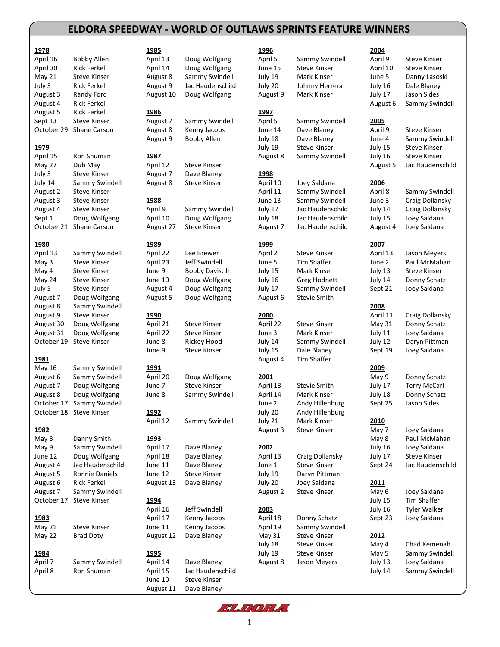## **ELDORA SPEEDWAY - WORLD OF OUTLAWS SPRINTS FEATURE WINNERS**

| 1978                  |                                   | 1985                 |                                    | 1996            |                               | 2004              |                     |
|-----------------------|-----------------------------------|----------------------|------------------------------------|-----------------|-------------------------------|-------------------|---------------------|
| April 16              | <b>Bobby Allen</b>                | April 13             | Doug Wolfgang                      | April 5         | Sammy Swindell                | April 9           | <b>Steve Kinser</b> |
| April 30              | <b>Rick Ferkel</b>                | April 14             | Doug Wolfgang                      | June 15         | Steve Kinser                  | April 10          | <b>Steve Kinser</b> |
| May 21                | <b>Steve Kinser</b>               | August 8             | Sammy Swindell                     | July 19         | Mark Kinser                   | June 5            | Danny Lasoski       |
| July 3                | <b>Rick Ferkel</b>                | August 9             | Jac Haudenschild                   | July 20         | Johnny Herrera                | July 16           | Dale Blaney         |
| August 3              | Randy Ford                        | August 10            | Doug Wolfgang                      | August 9        | Mark Kinser                   | July 17           | Jason Sides         |
| August 4              | Rick Ferkel<br><b>Rick Ferkel</b> |                      |                                    |                 |                               | August 6          | Sammy Swindell      |
| August 5              | <b>Steve Kinser</b>               | 1986                 |                                    | 1997<br>April 5 |                               |                   |                     |
| Sept 13<br>October 29 | Shane Carson                      | August 7<br>August 8 | Sammy Swindell                     | June 14         | Sammy Swindell<br>Dave Blaney | 2005              | <b>Steve Kinser</b> |
|                       |                                   | August 9             | Kenny Jacobs<br><b>Bobby Allen</b> | July 18         | Dave Blaney                   | April 9<br>June 4 | Sammy Swindell      |
| 1979                  |                                   |                      |                                    | July 19         | <b>Steve Kinser</b>           | July 15           | <b>Steve Kinser</b> |
| April 15              | Ron Shuman                        | 1987                 |                                    | August 8        | Sammy Swindell                | July 16           | <b>Steve Kinser</b> |
| May 27                | Dub May                           | April 12             | <b>Steve Kinser</b>                |                 |                               | August 5          | Jac Haudenschild    |
| July 3                | <b>Steve Kinser</b>               | August 7             | Dave Blaney                        | 1998            |                               |                   |                     |
| July 14               | Sammy Swindell                    | August 8             | <b>Steve Kinser</b>                | April 10        | Joey Saldana                  | 2006              |                     |
| August 2              | Steve Kinser                      |                      |                                    | April 11        | Sammy Swindell                | April 8           | Sammy Swindell      |
| August 3              | <b>Steve Kinser</b>               | 1988                 |                                    | June 13         | Sammy Swindell                | June 3            | Craig Dollansky     |
| August 4              | <b>Steve Kinser</b>               | April 9              | Sammy Swindell                     | July 17         | Jac Haudenschild              | July 14           | Craig Dollansky     |
| Sept 1                | Doug Wolfgang                     | April 10             | Doug Wolfgang                      | July 18         | Jac Haudenschild              | July 15           | Joey Saldana        |
| October 21            | Shane Carson                      | August 27            | <b>Steve Kinser</b>                | August 7        | Jac Haudenschild              | August 4          | Joey Saldana        |
|                       |                                   |                      |                                    |                 |                               |                   |                     |
| 1980                  |                                   | <u>1989</u>          |                                    | 1999            |                               | 2007              |                     |
| April 13              | Sammy Swindell                    | April 22             | Lee Brewer                         | April 2         | <b>Steve Kinser</b>           | April 13          | Jason Meyers        |
| May 3                 | Steve Kinser                      | April 23             | Jeff Swindell                      | June 5          | <b>Tim Shaffer</b>            | June 2            | Paul McMahan        |
| May 4                 | Steve Kinser                      | June 9               | Bobby Davis, Jr.                   | July 15         | Mark Kinser                   | July 13           | Steve Kinser        |
| May 24                | Steve Kinser                      | June 10              | Doug Wolfgang                      | July 16         | Greg Hodnett                  | July 14           | Donny Schatz        |
| July 5                | <b>Steve Kinser</b>               | August 4             | Doug Wolfgang                      | July 17         | Sammy Swindell                | Sept 21           | Joey Saldana        |
| August 7              | Doug Wolfgang                     | August 5             | Doug Wolfgang                      | August 6        | <b>Stevie Smith</b>           |                   |                     |
| August 8              | Sammy Swindell                    |                      |                                    |                 |                               | 2008              |                     |
| August 9              | <b>Steve Kinser</b>               | 1990                 |                                    | 2000            |                               | April 11          | Craig Dollansky     |
| August 30             | Doug Wolfgang                     | April 21             | <b>Steve Kinser</b>                | April 22        | <b>Steve Kinser</b>           | May 31            | Donny Schatz        |
| August 31             | Doug Wolfgang                     | April 22             | <b>Steve Kinser</b>                | June 3          | Mark Kinser                   | July 11           | Joey Saldana        |
| October 19            | <b>Steve Kinser</b>               | June 8               | Rickey Hood                        | July 14         | Sammy Swindell                | July 12           | Daryn Pittman       |
|                       |                                   | June 9               | <b>Steve Kinser</b>                | July 15         | Dale Blaney                   | Sept 19           | Joey Saldana        |
| <u>1981</u>           |                                   |                      |                                    | August 4        | Tim Shaffer                   |                   |                     |
| May 16                | Sammy Swindell                    | <u>1991</u>          |                                    |                 |                               | 2009              |                     |
| August 6              | Sammy Swindell                    | April 20             | Doug Wolfgang                      | 2001            |                               | May 9             | Donny Schatz        |
| August 7              | Doug Wolfgang                     | June 7               | <b>Steve Kinser</b>                | April 13        | <b>Stevie Smith</b>           | July 17           | <b>Terry McCarl</b> |
| August 8              | Doug Wolfgang                     | June 8               | Sammy Swindell                     | April 14        | Mark Kinser                   | July 18           | Donny Schatz        |
|                       | October 17 Sammy Swindell         |                      |                                    | June 2          | Andy Hillenburg               | Sept 25           | Jason Sides         |
|                       | October 18 Steve Kinser           | 1992                 |                                    | July 20         | Andy Hillenburg               |                   |                     |
|                       |                                   | April 12             | Sammy Swindell                     | July 21         | Mark Kinser                   | 2010              |                     |
| 1982                  |                                   |                      |                                    | August 3        | <b>Steve Kinser</b>           | May 7             | Joey Saldana        |
| May 8                 | Danny Smith                       | 1993                 |                                    |                 |                               | May 8             | Paul McMahan        |
| May 9                 | Sammy Swindell                    | April 17             | Dave Blaney                        | 2002            |                               | July 16           | Joey Saldana        |
| June 12               | Doug Wolfgang                     | April 18             | Dave Blaney                        | April 13        | Craig Dollansky               | July 17           | <b>Steve Kinser</b> |
| August 4              | Jac Haudenschild                  | June 11              | Dave Blaney                        | June 1          | <b>Steve Kinser</b>           | Sept 24           | Jac Haudenschild    |
| August 5              | Ronnie Daniels                    | June 12              | <b>Steve Kinser</b>                | July 19         | Daryn Pittman                 |                   |                     |
| August 6              | <b>Rick Ferkel</b>                | August 13            | Dave Blaney                        | July 20         | Joey Saldana                  | 2011              |                     |
| August 7              | Sammy Swindell                    |                      |                                    | August 2        | <b>Steve Kinser</b>           | May 6             | Joey Saldana        |
|                       | October 17 Steve Kinser           | 1994                 |                                    |                 |                               | July 15           | Tim Shaffer         |
|                       |                                   | April 16             | Jeff Swindell                      | 2003            |                               | July 16           | <b>Tyler Walker</b> |
| 1983                  |                                   | April 17             | Kenny Jacobs                       | April 18        | Donny Schatz                  | Sept 23           | Joey Saldana        |
| May 21                | <b>Steve Kinser</b>               | June 11              | Kenny Jacobs                       | April 19        | Sammy Swindell                |                   |                     |
| May 22                | <b>Brad Doty</b>                  | August 12            | Dave Blaney                        | May 31          | <b>Steve Kinser</b>           | 2012              |                     |
|                       |                                   |                      |                                    | July 18         | <b>Steve Kinser</b>           | May 4             | Chad Kemenah        |
| 1984                  |                                   | <u>1995</u>          |                                    | July 19         | <b>Steve Kinser</b>           | May 5             | Sammy Swindell      |
| April 7               | Sammy Swindell                    | April 14             | Dave Blaney                        | August 8        | Jason Meyers                  | July 13           | Joey Saldana        |
| April 8               | Ron Shuman                        | April 15             | Jac Haudenschild                   |                 |                               | July 14           | Sammy Swindell      |

| <u> 1985</u>             |                                | 1996                |                                       | 2004                |                                            |
|--------------------------|--------------------------------|---------------------|---------------------------------------|---------------------|--------------------------------------------|
| April 13                 | Doug Wolfgang<br>Doug Wolfgang | April 5<br>June 15  | Sammy Swindell<br><b>Steve Kinser</b> | April 9             | <b>Steve Kinser</b><br><b>Steve Kinser</b> |
| April 14<br>August 8     | Sammy Swindell                 | July 19             | Mark Kinser                           | April 10<br>June 5  | Danny Lasoski                              |
| August 9                 | Jac Haudenschild               | July 20             | Johnny Herrera                        | July 16             | Dale Blaney                                |
| August 10                | Doug Wolfgang                  | August 9            | Mark Kinser                           | July 17             | Jason Sides                                |
|                          |                                |                     |                                       | August 6            | Sammy Swindell                             |
| 1986                     |                                | 1997                |                                       |                     |                                            |
| August 7                 | Sammy Swindell                 | April 5             | Sammy Swindell                        | 2005                |                                            |
| August 8                 | Kenny Jacobs                   | June 14             | Dave Blaney                           | April 9             | <b>Steve Kinser</b>                        |
| August 9                 | <b>Bobby Allen</b>             | July 18             | Dave Blaney                           | June 4              | Sammy Swindell                             |
|                          |                                | July 19             | <b>Steve Kinser</b>                   | July 15             | <b>Steve Kinser</b>                        |
| <u> 1987</u><br>April 12 | <b>Steve Kinser</b>            | August 8            | Sammy Swindell                        | July 16<br>August 5 | <b>Steve Kinser</b><br>Jac Haudenschild    |
| August 7                 | Dave Blaney                    | 1998                |                                       |                     |                                            |
| August 8                 | <b>Steve Kinser</b>            | April 10            | Joey Saldana                          | 2006                |                                            |
|                          |                                | April 11            | Sammy Swindell                        | April 8             | Sammy Swindell                             |
| <u> 1988</u>             |                                | June 13             | Sammy Swindell                        | June 3              | Craig Dollansky                            |
| April 9                  | Sammy Swindell                 | July 17             | Jac Haudenschild                      | July 14             | Craig Dollansky                            |
| April 10                 | Doug Wolfgang                  | July 18             | Jac Haudenschild                      | July 15             | Joey Saldana                               |
| August 27                | <b>Steve Kinser</b>            | August 7            | Jac Haudenschild                      | August 4            | Joey Saldana                               |
|                          |                                |                     |                                       |                     |                                            |
| <u> 1989</u>             |                                | 1999                |                                       | 2007                |                                            |
| April 22                 | Lee Brewer                     | April 2             | <b>Steve Kinser</b>                   | April 13            | Jason Meyers                               |
| April 23                 | Jeff Swindell                  | June 5              | Tim Shaffer                           | June 2              | Paul McMahan                               |
| June 9                   | Bobby Davis, Jr.               | July 15             | Mark Kinser                           | July 13             | <b>Steve Kinser</b>                        |
| June 10                  | Doug Wolfgang                  | July 16             | Greg Hodnett                          | July 14<br>Sept 21  | Donny Schatz                               |
| August 4<br>August 5     | Doug Wolfgang<br>Doug Wolfgang | July 17<br>August 6 | Sammy Swindell<br><b>Stevie Smith</b> |                     | Joey Saldana                               |
|                          |                                |                     |                                       | 2008                |                                            |
| 1990                     |                                | 2000                |                                       | April 11            | Craig Dollansky                            |
| April 21                 | <b>Steve Kinser</b>            | April 22            | <b>Steve Kinser</b>                   | May 31              | Donny Schatz                               |
| April 22                 | <b>Steve Kinser</b>            | June 3              | Mark Kinser                           | July 11             | Joey Saldana                               |
| June 8                   | Rickey Hood                    | July 14             | Sammy Swindell                        | July 12             | Daryn Pittman                              |
| June 9                   | <b>Steve Kinser</b>            | July 15             | Dale Blaney                           | Sept 19             | Joey Saldana                               |
|                          |                                | August 4            | Tim Shaffer                           |                     |                                            |
| 1991                     |                                |                     |                                       | 2009                |                                            |
| April 20                 | Doug Wolfgang                  | 2001                |                                       | May 9               | Donny Schatz                               |
| June 7                   | <b>Steve Kinser</b>            | April 13            | Stevie Smith                          | July 17             | <b>Terry McCarl</b>                        |
| June 8                   | Sammy Swindell                 | April 14            | Mark Kinser                           | July 18             | Donny Schatz                               |
|                          |                                | June 2              | Andy Hillenburg                       | Sept 25             | Jason Sides                                |
| 1992                     |                                | July 20             | Andy Hillenburg                       |                     |                                            |
| April 12                 | Sammy Swindell                 | July 21             | Mark Kinser<br><b>Steve Kinser</b>    | 2010                |                                            |
| <u> 1993</u>             |                                | August 3            |                                       | May 7<br>May 8      | Joey Saldana<br>Paul McMahan               |
| April 17                 | Dave Blaney                    | 2002                |                                       | July 16             | Joey Saldana                               |
| April 18                 | Dave Blaney                    | April 13            | Craig Dollansky                       | July 17             | <b>Steve Kinser</b>                        |
| June 11                  | Dave Blaney                    | June 1              | <b>Steve Kinser</b>                   | Sept 24             | Jac Haudenschild                           |
| June 12                  | <b>Steve Kinser</b>            | July 19             | Daryn Pittman                         |                     |                                            |
| August 13                | Dave Blaney                    | July 20             | Joey Saldana                          | 2011                |                                            |
|                          |                                | August 2            | <b>Steve Kinser</b>                   | May 6               | Joey Saldana                               |
| 1994                     |                                |                     |                                       | July 15             | Tim Shaffer                                |
| April 16                 | Jeff Swindell                  | 2003                |                                       | July 16             | Tyler Walker                               |
| April 17                 | Kenny Jacobs                   | April 18            | Donny Schatz                          | Sept 23             | Joey Saldana                               |
| June 11                  | Kenny Jacobs                   | April 19            | Sammy Swindell                        |                     |                                            |
| August 12                | Dave Blaney                    | May 31              | <b>Steve Kinser</b>                   | 2012                |                                            |
|                          |                                | July 18             | <b>Steve Kinser</b>                   | May 4               | Chad Kemenah                               |
| <u> 1995 </u>            |                                | July 19             | <b>Steve Kinser</b>                   | May 5               | Sammy Swindell                             |
| April 14                 | Dave Blaney                    | August 8            | Jason Meyers                          | July 13             | Joey Saldana                               |
| Anril 15                 | lac Haudenschild               |                     |                                       | luly 14             | Sammy Swindell                             |

June 10 Steve Kinser August 11 Dave Blaney

| <b>HUCH</b><br>schild<br>zang             | JUIY 15<br>July 20<br>August                                                       |
|-------------------------------------------|------------------------------------------------------------------------------------|
| ndell<br>bs<br>٦                          | <u>1997</u><br>April 5<br>June 14<br>July 18<br>July 19<br>August                  |
| r<br>y<br>r<br>ndell<br>zang<br>r         | <u> 1998</u><br>April 10<br>April 11<br>June 13<br>July 17<br>July 18<br>August    |
| l<br>II<br>s, Jr.<br>zang<br>zang<br>zang | <u> 1999</u><br>April 2<br>June 5<br>July 15<br>July 16<br>July 17<br>August       |
| r<br>r<br>d<br>r                          | 2000<br>April 22<br>June 3<br>July 14<br>July 15<br>August                         |
| zang<br>r<br>ndell<br>ndell               | <u>2001</u><br>April 13<br>.<br>April 14<br>June 2<br>July 20<br>July 21<br>August |
| y<br>y<br>y<br>r<br>y                     | 2002<br>April 13<br>June 1<br>July 19<br>July 20<br>August                         |
| Ш<br>bs<br>bs<br>y                        | <u> 2003</u><br>April 18<br>April 19<br>May 31<br>July 18<br>July 19               |
| schild                                    | August                                                                             |

FLIDEL